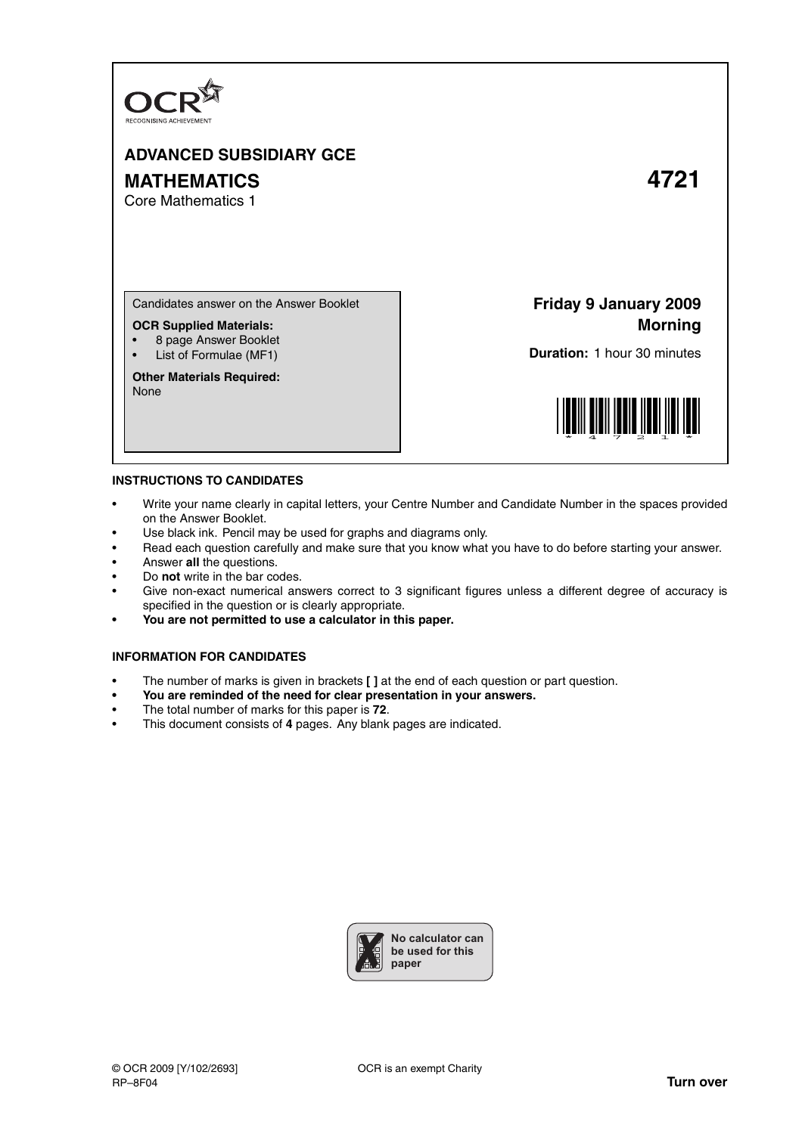

## **ADVANCED SUBSIDIARY GCE MATHEMATICS 4721**

Core Mathematics 1

Candidates answer on the Answer Booklet

## **OCR Supplied Materials:**

- 8 page Answer Booklet
- List of Formulae (MF1)

**Other Materials Required:** None

**Friday 9 January 2009 Morning**

**Duration:** 1 hour 30 minutes



## **INSTRUCTIONS TO CANDIDATES**

- Write your name clearly in capital letters, your Centre Number and Candidate Number in the spaces provided on the Answer Booklet.
- Use black ink. Pencil may be used for graphs and diagrams only.
- Read each question carefully and make sure that you know what you have to do before starting your answer.
- Answer **all** the questions.
- Do **not** write in the bar codes.
- Give non-exact numerical answers correct to 3 significant figures unless a different degree of accuracy is specified in the question or is clearly appropriate.
- **You are not permitted to use a calculator in this paper.**

## **INFORMATION FOR CANDIDATES**

- The number of marks is given in brackets **[ ]** at the end of each question or part question.
- **You are reminded of the need for clear presentation in your answers.**
- The total number of marks for this paper is **72**.
- This document consists of **4** pages. Any blank pages are indicated.

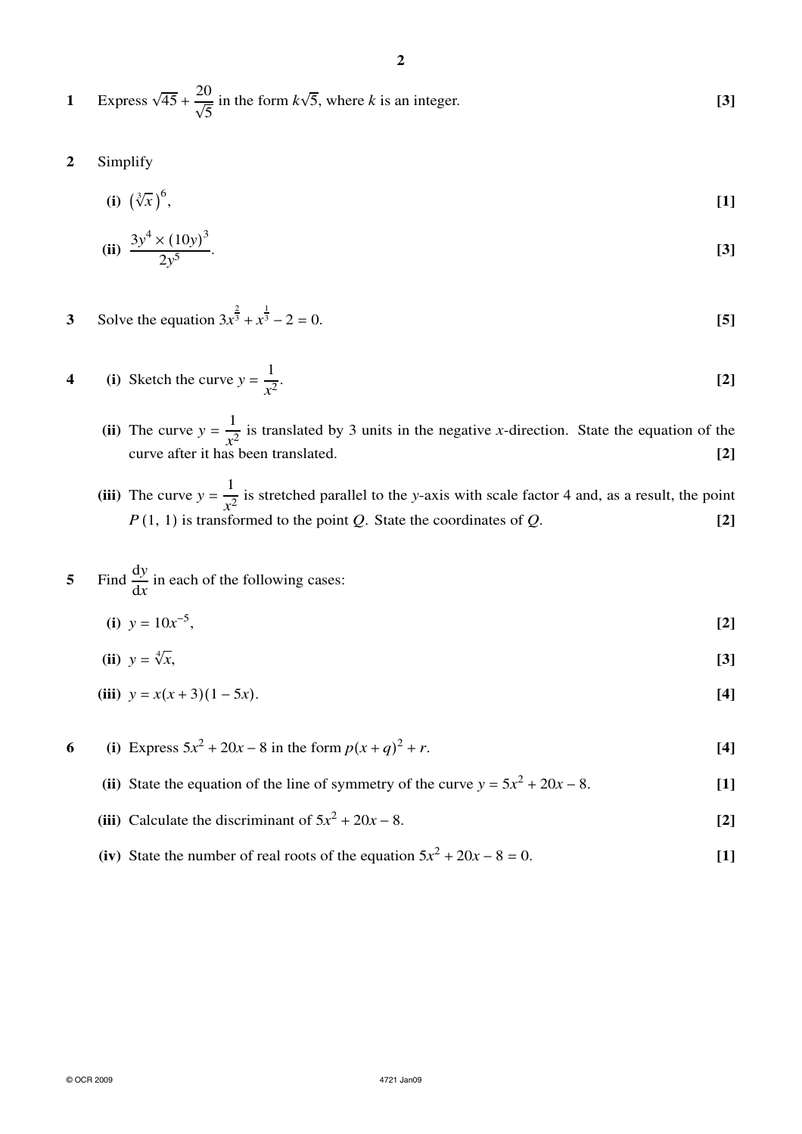- **1** Express  $\sqrt{45} + \frac{20}{\sqrt{5}}$  $\sqrt{5}$ in the form  $k\sqrt{5}$ , where *k* is an integer. **[3]**
- **2** Simplify
	- **(i)**  $(\sqrt[3]{x})^6$ , **[1]**

(ii) 
$$
\frac{3y^4 \times (10y)^3}{2y^5}
$$
 [3]

**3** Solve the equation  $3x^{\frac{2}{3}} + x^{\frac{1}{3}}$  $\overline{3} - 2 = 0.$  [5]

4 (i) Sketch the curve 
$$
y = \frac{1}{x^2}
$$
. [2]

- (ii) The curve  $y = \frac{1}{r^2}$  $\frac{1}{x^2}$  is translated by 3 units in the negative *x*-direction. State the equation of the curve after it has been translated. **[2]**
- (iii) The curve  $y = \frac{1}{r^2}$  $\frac{1}{x^2}$  is stretched parallel to the *y*-axis with scale factor 4 and, as a result, the point *P*(1, 1) is transformed to the point *Q*. State the coordinates of *Q*. **[2]**

5 Find 
$$
\frac{dy}{dx}
$$
 in each of the following cases:

**(i)**  $y = 10x^{-5}$ , **[2]**

$$
(ii) \ \ y = \sqrt[4]{x}, \tag{3}
$$

(iii) 
$$
y = x(x+3)(1-5x)
$$
. [4]

**6** (i) Express  $5x^2 + 20x - 8$  in the form  $p(x + q)$  $2 + r$ . **[4]** 

- **(ii)** State the equation of the line of symmetry of the curve  $y = 5x^2 + 20x 8$ . [1]
- **(iii)** Calculate the discriminant of  $5x^2 + 20x 8$ . **[2]**
- (iv) State the number of real roots of the equation  $5x^2 + 20x 8 = 0$ . [1]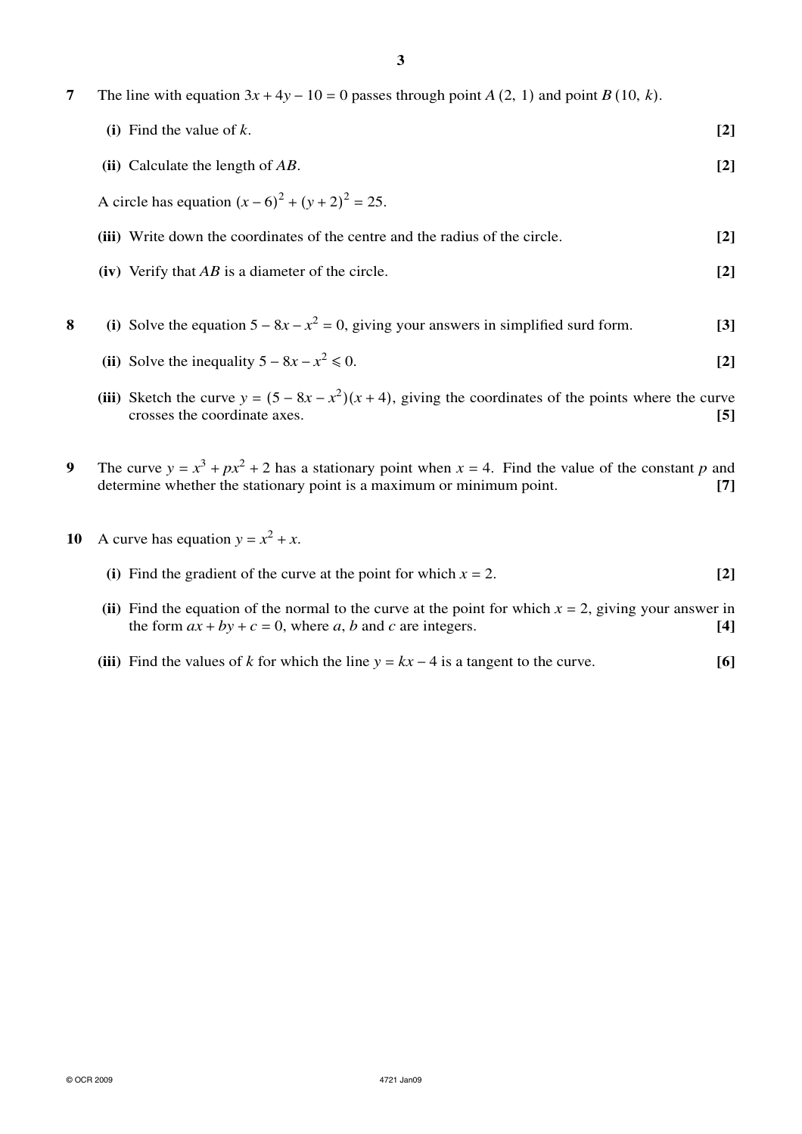|  |  | The line with equation $3x + 4y - 10 = 0$ passes through point A (2, 1) and point B (10, k). |  |  |  |  |  |
|--|--|----------------------------------------------------------------------------------------------|--|--|--|--|--|
|--|--|----------------------------------------------------------------------------------------------|--|--|--|--|--|

|   | (i) Find the value of $k$ .                                                                                                                                                                                                                                                                   | $[2]$ |  |  |  |
|---|-----------------------------------------------------------------------------------------------------------------------------------------------------------------------------------------------------------------------------------------------------------------------------------------------|-------|--|--|--|
|   | (ii) Calculate the length of $AB$ .                                                                                                                                                                                                                                                           | $[2]$ |  |  |  |
|   | A circle has equation $(x-6)^2 + (y+2)^2 = 25$ .                                                                                                                                                                                                                                              |       |  |  |  |
|   | (iii) Write down the coordinates of the centre and the radius of the circle.                                                                                                                                                                                                                  | $[2]$ |  |  |  |
|   | (iv) Verify that $AB$ is a diameter of the circle.                                                                                                                                                                                                                                            | $[2]$ |  |  |  |
|   |                                                                                                                                                                                                                                                                                               |       |  |  |  |
| 8 | (i) Solve the equation $5 - 8x - x^2 = 0$ , giving your answers in simplified surd form.                                                                                                                                                                                                      | [3]   |  |  |  |
|   | (ii) Solve the inequality $5 - 8x - x^2 \le 0$ .                                                                                                                                                                                                                                              | $[2]$ |  |  |  |
|   | $\frac{1}{2}$ and $\frac{1}{2}$ and $\frac{1}{2}$ and $\frac{1}{2}$ and $\frac{1}{2}$ and $\frac{1}{2}$ and $\frac{1}{2}$ and $\frac{1}{2}$ and $\frac{1}{2}$ and $\frac{1}{2}$ and $\frac{1}{2}$ and $\frac{1}{2}$ and $\frac{1}{2}$ and $\frac{1}{2}$ and $\frac{1}{2}$ and $\frac{1}{2}$ a |       |  |  |  |

- (iii) Sketch the curve  $y = (5 8x x^2)(x + 4)$ , giving the coordinates of the points where the curve crosses the coordinate axes. **[5]**
- **9** The curve  $y = x^3 + px^2 + 2$  has a stationary point when  $x = 4$ . Find the value of the constant *p* and determine whether the stationary point is a maximum or minimum point. **[7]**
- **10** A curve has equation  $y = x^2 + x$ .
	- (i) Find the gradient of the curve at the point for which  $x = 2$ . [2]
	- (ii) Find the equation of the normal to the curve at the point for which  $x = 2$ , giving your answer in the form  $ax + by + c = 0$ , where a, b and c are integers. the form  $ax + by + c = 0$ , where *a*, *b* and *c* are integers.
	- (iii) Find the values of *k* for which the line  $y = kx 4$  is a tangent to the curve. [6]